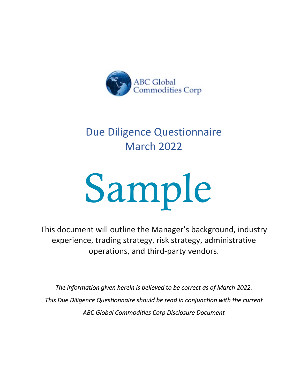

# Due Diligence Questionnaire March 2022

# Sample

This document will outline the Manager's background, industry experience, trading strategy, risk strategy, administrative operations, and third-party vendors.

*The information given herein is believed to be correct as of March 2022. This Due Diligence Questionnaire should be read in conjunction with the current ABC Global Commodities Corp Disclosure Document*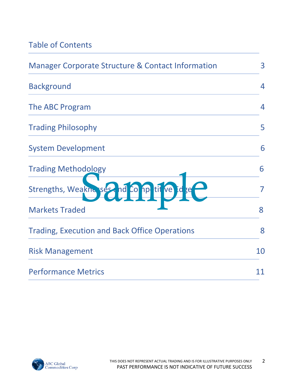# Table of Contents

| <b>Manager Corporate Structure &amp; Contact Information</b> | 3              |
|--------------------------------------------------------------|----------------|
| <b>Background</b>                                            | $\overline{4}$ |
| The ABC Program                                              | 4              |
| <b>Trading Philosophy</b>                                    | 5              |
| <b>System Development</b>                                    | 6              |
| <b>Trading Methodology</b>                                   | 6              |
| Strengths, Weaknesses, nd Co np tit ve                       | 7              |
| <b>Markets Traded</b>                                        | 8              |
| <b>Trading, Execution and Back Office Operations</b>         | 8              |
| <b>Risk Management</b>                                       | 10             |
| <b>Performance Metrics</b>                                   | 11             |

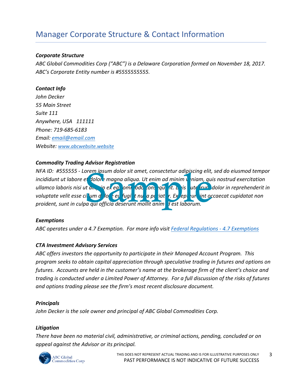# Manager Corporate Structure & Contact Information

### *Corporate Structure*

*ABC Global Commodities Corp ("ABC") is a Delaware Corporation formed on November 18, 2017. ABC's Corporate Entity number is #5555555555.*

### *Contact Info*

*John Decker 55 Main Street Suite 111 Anywhere, USA 111111 Phone: 719-685-6183 Email: email@email.com Website: www.abcwebsite.website*

# *Commodity Trading Advisor Registration*

*NFA ID: #555555 - Lorem ipsum dolor sit amet, consectetur adipiscing elit, sed do eiusmod tempor incididunt ut labore et dolore magna aliqua. Ut enim ad minim veniam, quis nostrud exercitation ullamco laboris nisi ut aliquip ex ea commodo consequent. Duis aute fruit dolor in reprehenderit in* voluptate velit esse cil<sup>l</sup>um dello e eu fugiet nulla pariatur. Experiture int occaecat cupidatat non proident, sunt in culpa qui officia deserunt mollit anim il est laborum. orem ipsum dolor sit amet, consectetur adipiscing elit,<br>et dolor emagna aliqua. Ut enim ad minim veniam, qui<br>it am, sin ex ed som sodo son, qui it. Le jis auté frue du<br>il um delo set sugiet nu a pariat r. Ex epi un int oc

### *Exemptions*

*ABC operates under a 4.7 Exemption. For more info visit Federal Regulations - 4.7 Exemptions*

### *CTA Investment Advisory Services*

*ABC offers investors the opportunity to participate in their Managed Account Program. This program seeks to obtain capital appreciation through speculative trading in futures and options on futures. Accounts are held in the customer's name at the brokerage firm of the client's choice and trading is conducted under a Limited Power of Attorney. For a full discussion of the risks of futures and options trading please see the firm's most recent disclosure document.*

### *Principals*

*John Decker is the sole owner and principal of ABC Global Commodities Corp.* 

### *Litigation*

*There have been no material civil, administrative, or criminal actions, pending, concluded or on appeal against the Advisor or its principal.* 

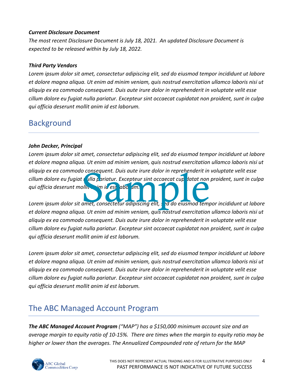### *Current Disclosure Document*

*The most recent Disclosure Document is July 18, 2021. An updated Disclosure Document is expected to be released within by July 18, 2022.*

### *Third Party Vendors*

*Lorem ipsum dolor sit amet, consectetur adipiscing elit, sed do eiusmod tempor incididunt ut labore et dolore magna aliqua. Ut enim ad minim veniam, quis nostrud exercitation ullamco laboris nisi ut aliquip ex ea commodo consequent. Duis aute irure dolor in reprehenderit in voluptate velit esse cillum dolore eu fugiat nulla pariatur. Excepteur sint occaecat cupidatat non proident, sunt in culpa qui officia deserunt mollit anim id est laborum.*

# **Background**

### *John Decker, Principal*

*Lorem ipsum dolor sit amet, consectetur adipiscing elit, sed do eiusmod tempor incididunt ut labore et dolore magna aliqua. Ut enim ad minim veniam, quis nostrud exercitation ullamco laboris nisi ut aliquip ex ea commodo consequent. Duis aute irure dolor in reprehenderit in voluptate velit esse*  cillum dolore eu fugiat n<mark>ulla p</mark>ariatur. Excepteur sint occaecat cup**i**datat non proident, sunt in culpa *cillum qui officia deserunt mollit anim id est laborum.* o consequent. Duis aute irure dolor in reprehenderit in<br>Sallite im id est abo 1m.<br>Sample, consectetur adipiscing elit, se id do eiusmod temp

*Lorem ipsum dolor sit amet, consectetur adipiscing elit, sed do eiusmod tempor incididunt ut labore et dolore magna aliqua. Ut enim ad minim veniam, quis nostrud exercitation ullamco laboris nisi ut aliquip ex ea commodo consequent. Duis aute irure dolor in reprehenderit in voluptate velit esse cillum dolore eu fugiat nulla pariatur. Excepteur sint occaecat cupidatat non proident, sunt in culpa qui officia deserunt mollit anim id est laborum.*

*Lorem ipsum dolor sit amet, consectetur adipiscing elit, sed do eiusmod tempor incididunt ut labore et dolore magna aliqua. Ut enim ad minim veniam, quis nostrud exercitation ullamco laboris nisi ut aliquip ex ea commodo consequent. Duis aute irure dolor in reprehenderit in voluptate velit esse cillum dolore eu fugiat nulla pariatur. Excepteur sint occaecat cupidatat non proident, sunt in culpa qui officia deserunt mollit anim id est laborum.*

# The ABC Managed Account Program

*The ABC Managed Account Program ("MAP") has a \$150,000 minimum account size and an average margin to equity ratio of 10-15%. There are times when the margin to equity ratio may be higher or lower than the averages. The Annualized Compounded rate of return for the MAP*

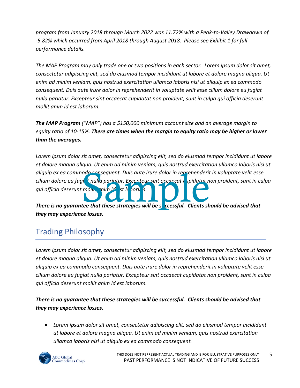*program from January 2018 through March 2022 was 11.72% with a Peak-to-Valley Drawdown of -5.82% which occurred from April 2018 through August 2018. Please see Exhibit 1 for full performance details.* 

*The MAP Program may only trade one or two positions in each sector. Lorem ipsum dolor sit amet, consectetur adipiscing elit, sed do eiusmod tempor incididunt ut labore et dolore magna aliqua. Ut enim ad minim veniam, quis nostrud exercitation ullamco laboris nisi ut aliquip ex ea commodo consequent. Duis aute irure dolor in reprehenderit in voluptate velit esse cillum dolore eu fugiat nulla pariatur. Excepteur sint occaecat cupidatat non proident, sunt in culpa qui officia deserunt mollit anim id est laborum.*

*The MAP Program ("MAP") has a \$150,000 minimum account size and an average margin to equity ratio of 10-15%. There are times when the margin to equity ratio may be higher or lower than the averages.* 

*Lorem ipsum dolor sit amet, consectetur adipiscing elit, sed do eiusmod tempor incididunt ut labore et dolore magna aliqua. Ut enim ad minim veniam, quis nostrud exercitation ullamco laboris nisi ut aliquip ex ea commodo consequent. Duis aute irure dolor in reprehenderit in voluptate velit esse*  cillum dolore eu fugi<mark>at nulla pariatur. Excenteur sint occaecat c</mark>upidatat non proident, sunt in culpa *qui officia deserunt mollit anim id est laborum.* odo consequent. Duis aute irure dolor in reprehenderity in the process of the product of the product of the set of the set of the set of the set of the set of the set of the set of the set of the set of the set of the set

*There is no guarantee that these strategies will be successful. Clients should be advised that they may experience losses.*

# Trading Philosophy

*Lorem ipsum dolor sit amet, consectetur adipiscing elit, sed do eiusmod tempor incididunt ut labore et dolore magna aliqua. Ut enim ad minim veniam, quis nostrud exercitation ullamco laboris nisi ut aliquip ex ea commodo consequent. Duis aute irure dolor in reprehenderit in voluptate velit esse cillum dolore eu fugiat nulla pariatur. Excepteur sint occaecat cupidatat non proident, sunt in culpa qui officia deserunt mollit anim id est laborum.*

*There is no guarantee that these strategies will be successful. Clients should be advised that they may experience losses.*

• *Lorem ipsum dolor sit amet, consectetur adipiscing elit, sed do eiusmod tempor incididunt ut labore et dolore magna aliqua. Ut enim ad minim veniam, quis nostrud exercitation ullamco laboris nisi ut aliquip ex ea commodo consequent.* 

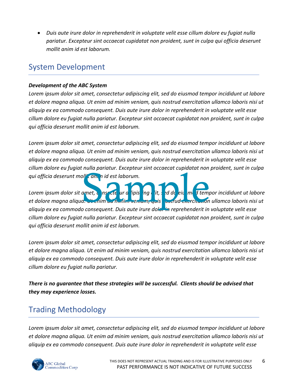• *Duis aute irure dolor in reprehenderit in voluptate velit esse cillum dolore eu fugiat nulla pariatur. Excepteur sint occaecat cupidatat non proident, sunt in culpa qui officia deserunt mollit anim id est laborum.*

# System Development

# *Development of the ABC System*

*Lorem ipsum dolor sit amet, consectetur adipiscing elit, sed do eiusmod tempor incididunt ut labore et dolore magna aliqua. Ut enim ad minim veniam, quis nostrud exercitation ullamco laboris nisi ut aliquip ex ea commodo consequent. Duis aute irure dolor in reprehenderit in voluptate velit esse cillum dolore eu fugiat nulla pariatur. Excepteur sint occaecat cupidatat non proident, sunt in culpa qui officia deserunt mollit anim id est laborum.*

*Lorem ipsum dolor sit amet, consectetur adipiscing elit, sed do eiusmod tempor incididunt ut labore et dolore magna aliqua. Ut enim ad minim veniam, quis nostrud exercitation ullamco laboris nisi ut aliquip ex ea commodo consequent. Duis aute irure dolor in reprehenderit in voluptate velit esse cillum dolore eu fugiat nulla pariatur. Excepteur sint occaecat cupidatat non proident, sunt in culpa qui officia deserunt mollit anim id est laborum.*

Lorem *ipsum dolor sit amet, consecte ur a* lipis ing it, sed do eiu mod tempor incididunt ut labore *et dolore magna aliqua. Ut enim ad minim veniam, quis nostrud exercitation ullamco laboris nisi ut aliquip ex ea commodo consequent. Duis aute irure dolor in reprehenderit in voluptate velit esse cillum dolore eu fugiat nulla pariatur. Excepteur sint occaecat cupidatat non proident, sunt in culpa qui officia deserunt mollit anim id est laborum.* amet, uns ete ur a lipis ingelit, a de eiu met temperature format de la procession de la procession de la procession

*Lorem ipsum dolor sit amet, consectetur adipiscing elit, sed do eiusmod tempor incididunt ut labore et dolore magna aliqua. Ut enim ad minim veniam, quis nostrud exercitation ullamco laboris nisi ut aliquip ex ea commodo consequent. Duis aute irure dolor in reprehenderit in voluptate velit esse cillum dolore eu fugiat nulla pariatur.* 

*There is no guarantee that these strategies will be successful. Clients should be advised that they may experience losses.*

# Trading Methodology

*Lorem ipsum dolor sit amet, consectetur adipiscing elit, sed do eiusmod tempor incididunt ut labore et dolore magna aliqua. Ut enim ad minim veniam, quis nostrud exercitation ullamco laboris nisi ut aliquip ex ea commodo consequent. Duis aute irure dolor in reprehenderit in voluptate velit esse* 

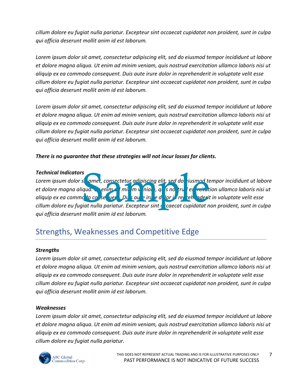*cillum dolore eu fugiat nulla pariatur. Excepteur sint occaecat cupidatat non proident, sunt in culpa qui officia deserunt mollit anim id est laborum.*

*Lorem ipsum dolor sit amet, consectetur adipiscing elit, sed do eiusmod tempor incididunt ut labore et dolore magna aliqua. Ut enim ad minim veniam, quis nostrud exercitation ullamco laboris nisi ut aliquip ex ea commodo consequent. Duis aute irure dolor in reprehenderit in voluptate velit esse cillum dolore eu fugiat nulla pariatur. Excepteur sint occaecat cupidatat non proident, sunt in culpa qui officia deserunt mollit anim id est laborum.*

*Lorem ipsum dolor sit amet, consectetur adipiscing elit, sed do eiusmod tempor incididunt ut labore et dolore magna aliqua. Ut enim ad minim veniam, quis nostrud exercitation ullamco laboris nisi ut aliquip ex ea commodo consequent. Duis aute irure dolor in reprehenderit in voluptate velit esse cillum dolore eu fugiat nulla pariatur. Excepteur sint occaecat cupidatat non proident, sunt in culpa qui officia deserunt mollit anim id est laborum.*

*There is no guarantee that these strategies will not incur losses for clients.*

*Technical Indicators Lorem ipsum dolor sit amet, consectetur adipiscing elit, sed do eiusmod tempor incididunt ut labore*  et dolore magna aliqua. Utenim ad minim veniam, quis not trud exercitation ullamco laboris nisi ut aliquip ex ea commo<sup>l</sup> to consequent. Duis aute iruite de lor in reprehenderit in voluptate velit esse *cillum dolore eu fugiat nulla pariatur. Excepteur sint d* caecat cupidatat non proident, sunt in culpa *qui officia deserunt mollit anim id est laborum.* s<br>se amet, consectetur adipiscing elit, sed do iusmod te<br>qua. enimed mil m v nial, q s no tru el reitut<br>d o co se uer Du s au eiru e d lor i rei en derit<br>iiat nulla pariatur. Excepteur sint caecat cupidatat n

# Strengths, Weaknesses and Competitive Edge

# *Strengths*

*Lorem ipsum dolor sit amet, consectetur adipiscing elit, sed do eiusmod tempor incididunt ut labore et dolore magna aliqua. Ut enim ad minim veniam, quis nostrud exercitation ullamco laboris nisi ut aliquip ex ea commodo consequent. Duis aute irure dolor in reprehenderit in voluptate velit esse cillum dolore eu fugiat nulla pariatur. Excepteur sint occaecat cupidatat non proident, sunt in culpa qui officia deserunt mollit anim id est laborum.*

# *Weaknesses*

*Lorem ipsum dolor sit amet, consectetur adipiscing elit, sed do eiusmod tempor incididunt ut labore et dolore magna aliqua. Ut enim ad minim veniam, quis nostrud exercitation ullamco laboris nisi ut aliquip ex ea commodo consequent. Duis aute irure dolor in reprehenderit in voluptate velit esse cillum dolore eu fugiat nulla pariatur.* 

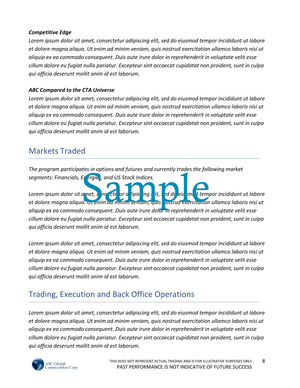# *Competitive Edge*

*Lorem ipsum dolor sit amet, consectetur adipiscing elit, sed do eiusmod tempor incididunt ut labore et dolore magna aliqua. Ut enim ad minim veniam, quis nostrud exercitation ullamco laboris nisi ut aliquip ex ea commodo consequent. Duis aute irure dolor in reprehenderit in voluptate velit esse cillum dolore eu fugiat nulla pariatur. Excepteur sint occaecat cupidatat non proident, sunt in culpa qui officia deserunt mollit anim id est laborum.*

# *ABC Compared to the CTA Universe*

*Lorem ipsum dolor sit amet, consectetur adipiscing elit, sed do eiusmod tempor incididunt ut labore et dolore magna aliqua. Ut enim ad minim veniam, quis nostrud exercitation ullamco laboris nisi ut aliquip ex ea commodo consequent. Duis aute irure dolor in reprehenderit in voluptate velit esse cillum dolore eu fugiat nulla pariatur. Excepteur sint occaecat cupidatat non proident, sunt in culpa qui officia deserunt mollit anim id est laborum.*

# Markets Traded

*The program participates in options and futures and currently trades the following market segments: Financials, Energies, and US Stock Indices.* 

Lorem *ipsum dolor sit amet, consecte ur a* lipis ing it, sed do eiu mod tempor incididunt ut labore *et dolore magna aliqua. Ut enim ad minim veniam, quis nostrud exercitation ullamco laboris nisi ut aliquip ex ea commodo consequent. Duis aute irure dolor in reprehenderit in voluptate velit esse cillum dolore eu fugiat nulla pariatur. Excepteur sint occaecat cupidatat non proident, sunt in culpa qui officia deserunt mollit anim id est laborum.* Et ergie; and US Stock Indices.<br>
Et ergie; and US Stock Indices.<br>
a met, consigliar artificial property of the property of templates of the property of the property of the pro

*Lorem ipsum dolor sit amet, consectetur adipiscing elit, sed do eiusmod tempor incididunt ut labore et dolore magna aliqua. Ut enim ad minim veniam, quis nostrud exercitation ullamco laboris nisi ut aliquip ex ea commodo consequent. Duis aute irure dolor in reprehenderit in voluptate velit esse cillum dolore eu fugiat nulla pariatur. Excepteur sint occaecat cupidatat non proident, sunt in culpa qui officia deserunt mollit anim id est laborum.*

# Trading, Execution and Back Office Operations

*Lorem ipsum dolor sit amet, consectetur adipiscing elit, sed do eiusmod tempor incididunt ut labore et dolore magna aliqua. Ut enim ad minim veniam, quis nostrud exercitation ullamco laboris nisi ut aliquip ex ea commodo consequent. Duis aute irure dolor in reprehenderit in voluptate velit esse cillum dolore eu fugiat nulla pariatur. Excepteur sint occaecat cupidatat non proident, sunt in culpa qui officia deserunt mollit anim id est laborum.*

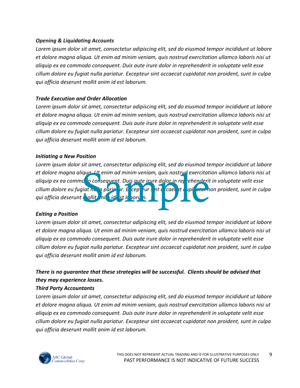### *Opening & Liquidating Accounts*

*Lorem ipsum dolor sit amet, consectetur adipiscing elit, sed do eiusmod tempor incididunt ut labore et dolore magna aliqua. Ut enim ad minim veniam, quis nostrud exercitation ullamco laboris nisi ut aliquip ex ea commodo consequent. Duis aute irure dolor in reprehenderit in voluptate velit esse cillum dolore eu fugiat nulla pariatur. Excepteur sint occaecat cupidatat non proident, sunt in culpa qui officia deserunt mollit anim id est laborum.*

# *Trade Execution and Order Allocation*

*Lorem ipsum dolor sit amet, consectetur adipiscing elit, sed do eiusmod tempor incididunt ut labore et dolore magna aliqua. Ut enim ad minim veniam, quis nostrud exercitation ullamco laboris nisi ut aliquip ex ea commodo consequent. Duis aute irure dolor in reprehenderit in voluptate velit esse cillum dolore eu fugiat nulla pariatur. Excepteur sint occaecat cupidatat non proident, sunt in culpa qui officia deserunt mollit anim id est laborum.*

### *Initiating a New Position*

*Lorem ipsum dolor sit amet, consectetur adipiscing elit, sed do eiusmod tempor incididunt ut labore et dolore magna aliqua. Ut enim ad minim veniam, quis nostrud exercitation ullamco laboris nisi ut*  aliquip ex ea commo<mark>do con</mark>sequent. Duis aute irure dolor in reprehenderit in voluptate velit esse *cillum dolore eu fugiat nulla pariatur. E*xcepteur sint o caecat cupidatat non proident, sunt in culpa *qui officia deserunt mollit anim id est laborum.* ique 11t enim ad minim veniam, quis nostrue exercitat<br>consequent. Duis quite irure dolor in rel rehenderit<br>it duit du st le perund de la piet de la piet de la piet de la piet de la piet de la piet de la piet de la pi

# *Exiting a Position*

*Lorem ipsum dolor sit amet, consectetur adipiscing elit, sed do eiusmod tempor incididunt ut labore et dolore magna aliqua. Ut enim ad minim veniam, quis nostrud exercitation ullamco laboris nisi ut aliquip ex ea commodo consequent. Duis aute irure dolor in reprehenderit in voluptate velit esse cillum dolore eu fugiat nulla pariatur. Excepteur sint occaecat cupidatat non proident, sunt in culpa qui officia deserunt mollit anim id est laborum.*

# *There is no guarantee that these strategies will be successful. Clients should be advised that they may experience losses.*

# *Third Party Accountants*

*Lorem ipsum dolor sit amet, consectetur adipiscing elit, sed do eiusmod tempor incididunt ut labore et dolore magna aliqua. Ut enim ad minim veniam, quis nostrud exercitation ullamco laboris nisi ut aliquip ex ea commodo consequent. Duis aute irure dolor in reprehenderit in voluptate velit esse cillum dolore eu fugiat nulla pariatur. Excepteur sint occaecat cupidatat non proident, sunt in culpa qui officia deserunt mollit anim id est laborum.*

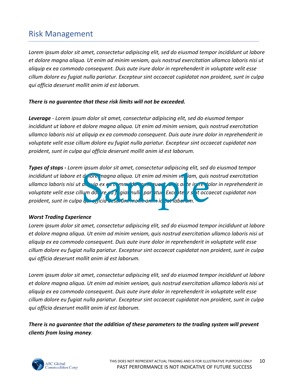# Risk Management

*Lorem ipsum dolor sit amet, consectetur adipiscing elit, sed do eiusmod tempor incididunt ut labore et dolore magna aliqua. Ut enim ad minim veniam, quis nostrud exercitation ullamco laboris nisi ut aliquip ex ea commodo consequent. Duis aute irure dolor in reprehenderit in voluptate velit esse cillum dolore eu fugiat nulla pariatur. Excepteur sint occaecat cupidatat non proident, sunt in culpa qui officia deserunt mollit anim id est laborum.*

# *There is no guarantee that these risk limits will not be exceeded.*

*Leverage - Lorem ipsum dolor sit amet, consectetur adipiscing elit, sed do eiusmod tempor incididunt ut labore et dolore magna aliqua. Ut enim ad minim veniam, quis nostrud exercitation ullamco laboris nisi ut aliquip ex ea commodo consequent. Duis aute irure dolor in reprehenderit in voluptate velit esse cillum dolore eu fugiat nulla pariatur. Excepteur sint occaecat cupidatat non proident, sunt in culpa qui officia deserunt mollit anim id est laborum.*

*Types of stops - Lorem ipsum dolor sit amet, consectetur adipiscing elit, sed do eiusmod tempor incididunt ut labore et de fore magna aliqua. Ut enim ad minim veniam, quis nostrud exercitation ullamco laboris nisi ut aliquip ex ea commodo consequent. Duis aute irure dolor in reprehenderit in*  voluptate velit esse cillum dolore eu formal pariatur. Excepte est it occaecat cupidatat non *proident, sunt in culpa qui officia deserunt mollit anim id est laborum.* d'Iore magna aliqua. Ut enim ad minim ve iam, quis<br>a. vip ex ex a mm de pressurer est a le irre do<br>lum do, re et giat pulle par itul Exce te r s it occu

# *Worst Trading Experience*

*Lorem ipsum dolor sit amet, consectetur adipiscing elit, sed do eiusmod tempor incididunt ut labore et dolore magna aliqua. Ut enim ad minim veniam, quis nostrud exercitation ullamco laboris nisi ut aliquip ex ea commodo consequent. Duis aute irure dolor in reprehenderit in voluptate velit esse cillum dolore eu fugiat nulla pariatur. Excepteur sint occaecat cupidatat non proident, sunt in culpa qui officia deserunt mollit anim id est laborum.*

*Lorem ipsum dolor sit amet, consectetur adipiscing elit, sed do eiusmod tempor incididunt ut labore et dolore magna aliqua. Ut enim ad minim veniam, quis nostrud exercitation ullamco laboris nisi ut aliquip ex ea commodo consequent. Duis aute irure dolor in reprehenderit in voluptate velit esse cillum dolore eu fugiat nulla pariatur. Excepteur sint occaecat cupidatat non proident, sunt in culpa qui officia deserunt mollit anim id est laborum.*

*There is no guarantee that the addition of these parameters to the trading system will prevent clients from losing money.*